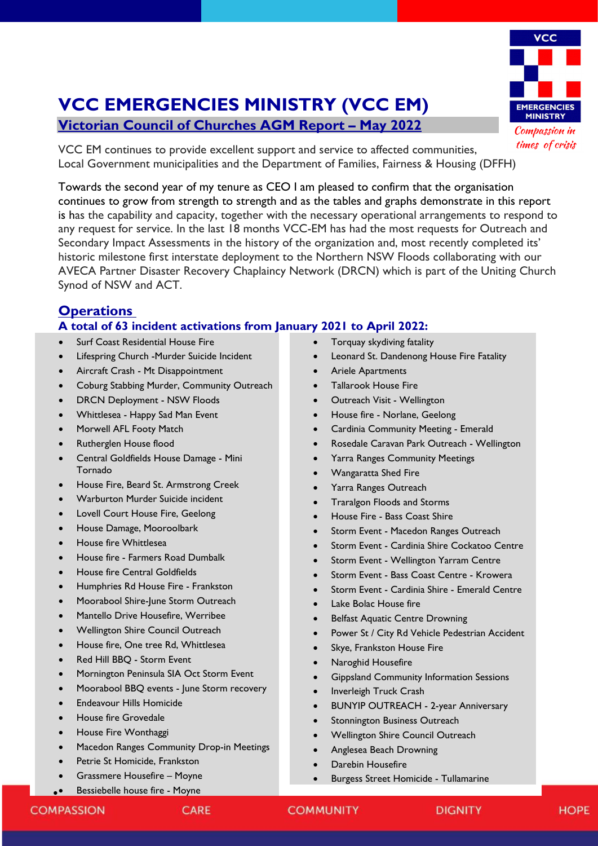# **VCC EMERGENCIES MINISTRY** Compassion in times of crisis

## **VCC EMERGENCIES MINISTRY (VCC EM)**

**Victorian Council of Churches AGM Report – May 2022**

VCC EM continues to provide excellent support and service to affected communities, Local Government municipalities and the Department of Families, Fairness & Housing (DFFH)

Towards the second year of my tenure as CEO I am pleased to confirm that the organisation continues to grow from strength to strength and as the tables and graphs demonstrate in this report is has the capability and capacity, together with the necessary operational arrangements to respond to any request for service. In the last 18 months VCC-EM has had the most requests for Outreach and Secondary Impact Assessments in the history of the organization and, most recently completed its' historic milestone first interstate deployment to the Northern NSW Floods collaborating with our AVECA Partner Disaster Recovery Chaplaincy Network (DRCN) which is part of the Uniting Church Synod of NSW and ACT.

### **Operations**

#### **A total of 63 incident activations from January 2021 to April 2022:**

- Surf Coast Residential House Fire
- Lifespring Church -Murder Suicide Incident
- Aircraft Crash Mt Disappointment
- Coburg Stabbing Murder, Community Outreach
- DRCN Deployment NSW Floods
- Whittlesea Happy Sad Man Event
- Morwell AFL Footy Match
- Rutherglen House flood
- Central Goldfields House Damage Mini Tornado
- House Fire, Beard St. Armstrong Creek
- Warburton Murder Suicide incident
- Lovell Court House Fire, Geelong
- House Damage, Mooroolbark
- House fire Whittlesea
- House fire Farmers Road Dumbalk
- House fire Central Goldfields
- Humphries Rd House Fire Frankston
- Moorabool Shire-June Storm Outreach
- Mantello Drive Housefire, Werribee
- Wellington Shire Council Outreach
- House fire, One tree Rd, Whittlesea
- Red Hill BBQ Storm Event
- Mornington Peninsula SIA Oct Storm Event
- Moorabool BBQ events June Storm recovery
- Endeavour Hills Homicide
- House fire Grovedale
- House Fire Wonthaggi
- Macedon Ranges Community Drop-in Meetings
- Petrie St Homicide, Frankston
- Grassmere Housefire Moyne
- •• Bessiebelle house fire Moyne
- Torquay skydiving fatality
- Leonard St. Dandenong House Fire Fatality
- Ariele Apartments
- Tallarook House Fire
- Outreach Visit Wellington
- House fire Norlane, Geelong
- Cardinia Community Meeting Emerald
- Rosedale Caravan Park Outreach Wellington
- Yarra Ranges Community Meetings
- Wangaratta Shed Fire
- Yarra Ranges Outreach
- Traralgon Floods and Storms
- House Fire Bass Coast Shire
- Storm Event Macedon Ranges Outreach
- Storm Event Cardinia Shire Cockatoo Centre
- Storm Event Wellington Yarram Centre
- Storm Event Bass Coast Centre Krowera
- Storm Event Cardinia Shire Emerald Centre
- Lake Bolac House fire
- Belfast Aquatic Centre Drowning
- Power St / City Rd Vehicle Pedestrian Accident
- Skye, Frankston House Fire
- Naroghid Housefire
- Gippsland Community Information Sessions
- Inverleigh Truck Crash
- BUNYIP OUTREACH 2-year Anniversary
- Stonnington Business Outreach
- Wellington Shire Council Outreach
- Anglesea Beach Drowning
- Darebin Housefire
- Burgess Street Homicide Tullamarine